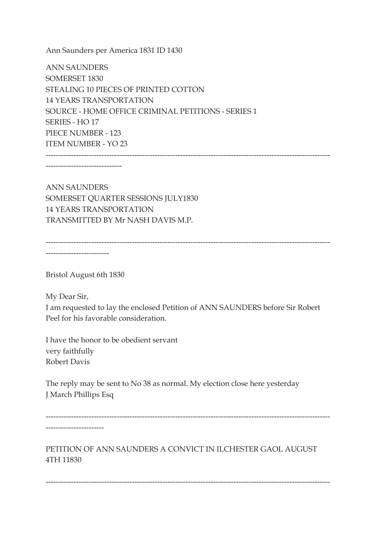Ann Saunders per America 1831 ID 1430

ANN SAUNDERS SOMERSET 1830 STEALING 10 PIECES OF PRINTED COTTON 14 YEARS TRANSPORTATION SOURCE - HOME OFFICE CRIMINAL PETITIONS - SERIES 1 SERIES - HO 17 PIECE NUMBER - 123 ITEM NUMBER - YO 23 ----------------------------------------------------------------------------------------------------------------

------------------------------

ANN SAUNDERS SOMERSET QUARTER SESSIONS JULY1830 14 YEARS TRANSPORTATION TRANSMITTED BY Mr NASH DAVIS M.P.

----------------------------------------------------------------------------------------------------------------

-------------------------

Bristol August 6th 1830

My Dear Sir,

I am requested to lay the enclosed Petition of ANN SAUNDERS before Sir Robert Peel for his favorable consideration.

I have the honor to be obedient servant very faithfully Robert Davis

The reply may be sent to No 38 as normal. My election close here yesterday J March Phillips Esq

---------------------------------------------------------------------------------------------------------------- -----------------------

PETITION OF ANN SAUNDERS A CONVICT IN ILCHESTER GAOL AUGUST 4TH 11830

----------------------------------------------------------------------------------------------------------------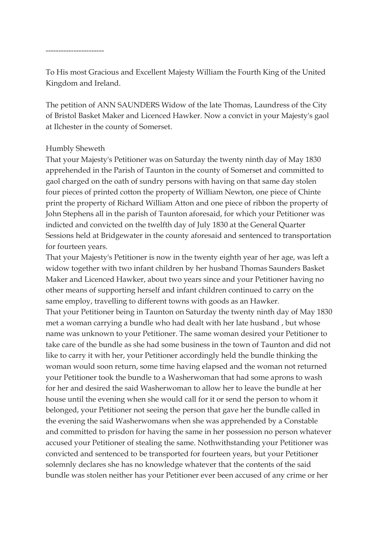To His most Gracious and Excellent Majesty William the Fourth King of the United Kingdom and Ireland.

The petition of ANN SAUNDERS Widow of the late Thomas, Laundress of the City of Bristol Basket Maker and Licenced Hawker. Now a convict in your Majesty's gaol at Ilchester in the county of Somerset.

## Humbly Sheweth

That your Majesty's Petitioner was on Saturday the twenty ninth day of May 1830 apprehended in the Parish of Taunton in the county of Somerset and committed to gaol charged on the oath of sundry persons with having on that same day stolen four pieces of printed cotton the property of William Newton, one piece of Chinte print the property of Richard William Atton and one piece of ribbon the property of John Stephens all in the parish of Taunton aforesaid, for which your Petitioner was indicted and convicted on the twelfth day of July 1830 at the General Quarter Sessions held at Bridgewater in the county aforesaid and sentenced to transportation for fourteen years.

That your Majesty's Petitioner is now in the twenty eighth year of her age, was left a widow together with two infant children by her husband Thomas Saunders Basket Maker and Licenced Hawker, about two years since and your Petitioner having no other means of supporting herself and infant children continued to carry on the same employ, travelling to different towns with goods as an Hawker. That your Petitioner being in Taunton on Saturday the twenty ninth day of May 1830 met a woman carrying a bundle who had dealt with her late husband , but whose name was unknown to your Petitioner. The same woman desired your Petitioner to take care of the bundle as she had some business in the town of Taunton and did not like to carry it with her, your Petitioner accordingly held the bundle thinking the woman would soon return, some time having elapsed and the woman not returned your Petitioner took the bundle to a Washerwoman that had some aprons to wash for her and desired the said Washerwoman to allow her to leave the bundle at her

house until the evening when she would call for it or send the person to whom it belonged, your Petitioner not seeing the person that gave her the bundle called in the evening the said Washerwomans when she was apprehended by a Constable and committed to prisdon for having the same in her possession no person whatever accused your Petitioner of stealing the same. Nothwithstanding your Petitioner was convicted and sentenced to be transported for fourteen years, but your Petitioner solemnly declares she has no knowledge whatever that the contents of the said bundle was stolen neither has your Petitioner ever been accused of any crime or her